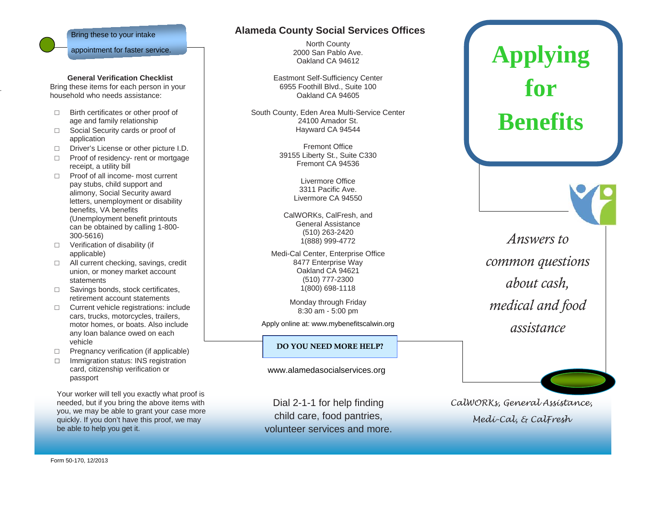

.

## **General Verification Checklist**

Bring these items for each person in your household who needs assistance:

- □ Birth certificates or other proof of age and family relationship
- □ Social Security cards or proof of application
- □ Driver's License or other picture I.D.
- □ Proof of residency- rent or mortgage receipt, a utility bill
- □ Proof of all income- most current pay stubs, child support and alimony, Social Security award letters, unemployment or disability benefits, VA benefits (Unemployment benefit printouts can be obtained by calling 1-800- 300-5616)
- □ Verification of disability (if applicable)
- □ All current checking, savings, credit union, or money market account statements
- □ Savings bonds, stock certificates, retirement account statements
- □ Current vehicle registrations: include cars, trucks, motorcycles, trailers, motor homes, or boats. Also include any loan balance owed on each vehicle
- □ Pregnancy verification (if applicable)
- □ Immigration status: INS registration card, citizenship verification or passport

Your worker will tell you exactly what proof is needed, but if you bring the above items with you, we may be able to grant your case more quickly. If you don't have this proof, we may be able to help you get it.

## **Alameda County Social Services Offices**

North County 2000 San Pablo Ave. Oakland CA 94612

Eastmont Self-Sufficiency Center 6955 Foothill Blvd., Suite 100 Oakland CA 94605

South County, Eden Area Multi-Service Center 24100 Amador St. Hayward CA 94544

> Fremont Office 39155 Liberty St., Suite C330 Fremont CA 94536

> > Livermore Office 3311 Pacific Ave. Livermore CA 94550

CalWORKs, CalFresh, and General Assistance (510) 263-2420 1(888) 999-4772

Medi-Cal Center, Enterprise Office 8477 Enterprise Way Oakland CA 94621 (510) 777-2300 1(800) 698-1118

> Monday through Friday 8:30 am - 5:00 pm

Apply online at: www.mybenefitscalwin.org

## DO YOU NEED MORE HELP?

www.alamedasocialservices.org

Dial 2-1-1 for help finding child care, food pantries, volunteer services and more.

*Answers to common questions about cash, medical and food assistance*

**Applying** 

**for** 

**Benefits**

*CalWORKs, General Assistance, Medi-Cal, & CalFresh*